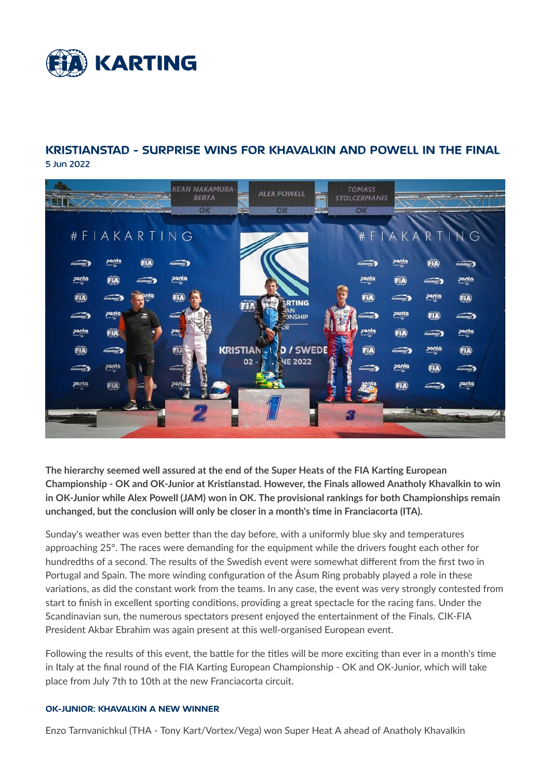

# **KRISTIANSTAD - SURPRISE WINS FOR KHAVALKIN AND POWELL IN THE FINAL** 5 Jun 2022



The hierarchy seemed well assured at the end of the Super Heats of the FIA Karting European Championship - OK and OK-Junior at Kristianstad. However, the Finals allowed Anatholy Khavalkin to win in OK-Junior while Alex Powell (JAM) won in OK. The provisional rankings for both Championships remain unchanged, but the conclusion will only be closer in a month's time in Franciacorta (ITA).

Sunday's weather was even better than the day before, with a uniformly blue sky and temperatures approaching 25°. The races were demanding for the equipment while the drivers fought each other for hundredths of a second. The results of the Swedish event were somewhat different from the first two in Portugal and Spain. The more winding configuration of the Åsum Ring probably played a role in these variations, as did the constant work from the teams. In any case, the event was very strongly contested from start to finish in excellent sporting conditions, providing a great spectacle for the racing fans. Under the Scandinavian sun, the numerous spectators present enjoyed the entertainment of the Finals. CIK-FIA President Akbar Ebrahim was again present at this well-organised European event.

Following the results of this event, the battle for the titles will be more exciting than ever in a month's time in Italy at the final round of the FIA Karting European Championship - OK and OK-Junior, which will take place from July 7th to 10th at the new Franciacorta circuit.

#### OK-JUNIOR: KHAVALKIN A NEW WINNER

Enzo Tarnvanichkul (THA - Tony Kart/Vortex/Vega) won Super Heat A ahead of Anatholy Khavalkin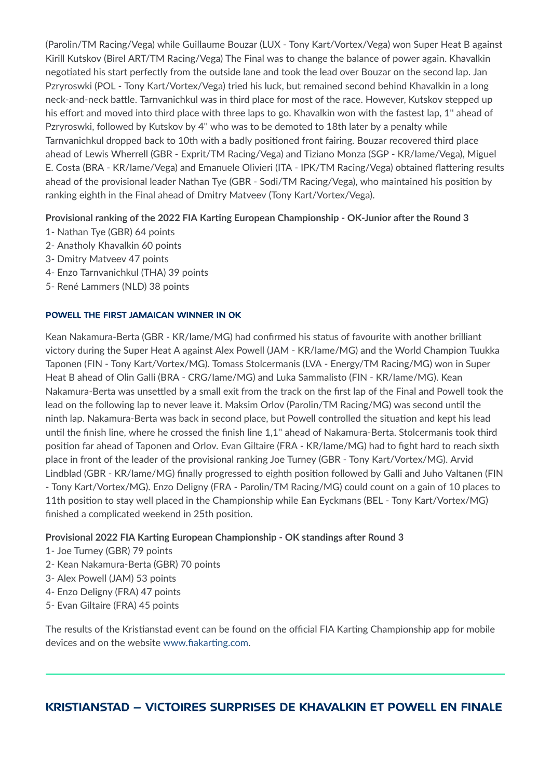(Parolin/TM Racing/Vega) while Guillaume Bouzar (LUX - Tony Kart/Vortex/Vega) won Super Heat B against Kirill Kutskov (Birel ART/TM Racing/Vega) The Final was to change the balance of power again. Khavalkin negotiated his start perfectly from the outside lane and took the lead over Bouzar on the second lap. Jan Pzryroswki (POL - Tony Kart/Vortex/Vega) tried his luck, but remained second behind Khavalkin in a long neck-and-neck battle. Tarnvanichkul was in third place for most of the race. However, Kutskov stepped up his effort and moved into third place with three laps to go. Khavalkin won with the fastest lap, 1" ahead of Pzryroswki, followed by Kutskov by 4" who was to be demoted to 18th later by a penalty while Tarnvanichkul dropped back to 10th with a badly positioned front fairing. Bouzar recovered third place ahead of Lewis Wherrell (GBR - Exprit/TM Racing/Vega) and Tiziano Monza (SGP - KR/lame/Vega), Miguel E. Costa (BRA - KR/lame/Vega) and Emanuele Olivieri (ITA - IPK/TM Racing/Vega) obtained flattering results ahead of the provisional leader Nathan Tye (GBR - Sodi/TM Racing/Vega), who maintained his position by ranking eighth in the Final ahead of Dmitry Matveev (Tony Kart/Vortex/Vega).

### Provisional ranking of the 2022 FIA Karting European Championship - OK-Junior after the Round 3

- 1- Nathan Tye (GBR) 64 points
- 2- Anatholy Khavalkin 60 points
- 3- Dmitry Matveev 47 points
- 4- Enzo Tarnvanichkul (THA) 39 points
- 5- René Lammers (NLD) 38 points

### POWELL THE FIRST JAMAICAN WINNER IN OK

Kean Nakamura-Berta (GBR - KR/lame/MG) had confirmed his status of favourite with another brilliant victory during the Super Heat A against Alex Powell (JAM - KR/lame/MG) and the World Champion Tuukka Taponen (FIN - Tony Kart/Vortex/MG). Tomass Stolcermanis (LVA - Energy/TM Racing/MG) won in Super Heat B ahead of Olin Galli (BRA - CRG/lame/MG) and Luka Sammalisto (FIN - KR/lame/MG). Kean Nakamura-Berta was unsettled by a small exit from the track on the first lap of the Final and Powell took the lead on the following lap to never leave it. Maksim Orlov (Parolin/TM Racing/MG) was second until the ninth lap. Nakamura-Berta was back in second place, but Powell controlled the situation and kept his lead until the finish line, where he crossed the finish line 1,1" ahead of Nakamura-Berta. Stolcermanis took third position far ahead of Taponen and Orlov. Evan Giltaire (FRA - KR/lame/MG) had to fight hard to reach sixth place in front of the leader of the provisional ranking Joe Turney (GBR - Tony Kart/Vortex/MG). Arvid Lindblad (GBR - KR/lame/MG) finally progressed to eighth position followed by Galli and Juho Valtanen (FIN - Tony Kart/Vortex/MG). Enzo Deligny (FRA - Parolin/TM Racing/MG) could count on a gain of 10 places to 11th position to stay well placed in the Championship while Ean Eyckmans (BEL - Tony Kart/Vortex/MG) finished a complicated weekend in 25th position.

### Provisional 2022 FIA Karting European Championship - OK standings after Round 3

- 1- Joe Turney (GBR) 79 points
- 2- Kean Nakamura-Berta (GBR) 70 points
- 3- Alex Powell (JAM) 53 points
- 4- Enzo Deligny (FRA) 47 points
- 5- Evan Giltaire (FRA) 45 points

The results of the Kristianstad event can be found on the official FIA Karting Championship app for mobile devices and on the website www.fiakarting.com.

# **KRISTIANSTAD - VICTOIRES SURPRISES DE KHAVALKIN ET POWELL EN FINALE**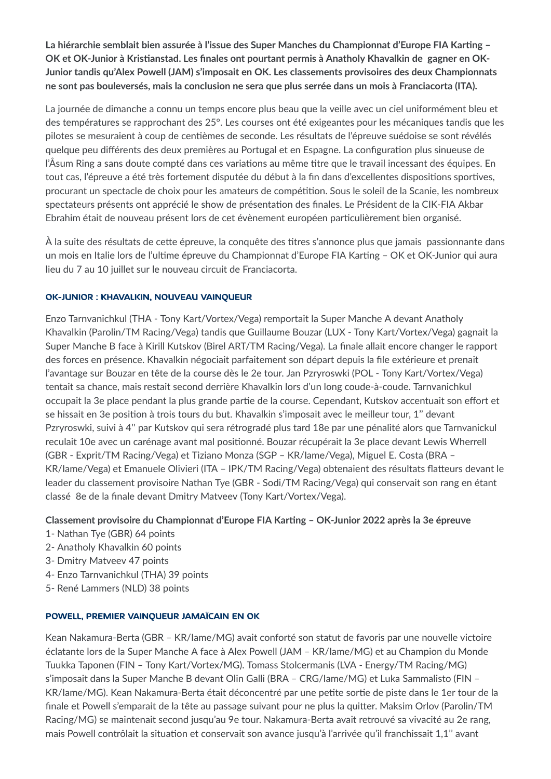La hiérarchie semblait bien assurée à l'issue des Super Manches du Championnat d'Europe FIA Karting -OK et OK-Junior à Kristianstad. Les finales ont pourtant permis à Anatholy Khavalkin de gagner en OK-Junior tandis qu'Alex Powell (JAM) s'imposait en OK. Les classements provisoires des deux Championnats ne sont pas bouleversés, mais la conclusion ne sera que plus serrée dans un mois à Franciacorta (ITA).

La journée de dimanche a connu un temps encore plus beau que la veille avec un ciel uniformément bleu et des températures se rapprochant des 25°. Les courses ont été exigeantes pour les mécaniques tandis que les pilotes se mesuraient à coup de centièmes de seconde. Les résultats de l'épreuve suédoise se sont révélés quelque peu différents des deux premières au Portugal et en Espagne. La configuration plus sinueuse de l'Asum Ring a sans doute compté dans ces variations au même titre que le travail incessant des équipes. En tout cas, l'épreuve a été très fortement disputée du début à la fin dans d'excellentes dispositions sportives, procurant un spectacle de choix pour les amateurs de compétition. Sous le soleil de la Scanie, les nombreux spectateurs présents ont apprécié le show de présentation des finales. Le Président de la CIK-FIA Akbar Ebrahim était de nouveau présent lors de cet évènement européen particulièrement bien organisé.

À la suite des résultats de cette épreuve, la conquête des titres s'annonce plus que jamais passionnante dans un mois en Italie lors de l'ultime épreuve du Championnat d'Europe FIA Karting - OK et OK-Junior qui aura lieu du 7 au 10 juillet sur le nouveau circuit de Franciacorta.

### OK-JUNIOR : KHAVALKIN, NOUVEAU VAINQUEUR

Enzo Tarnvanichkul (THA - Tony Kart/Vortex/Vega) remportait la Super Manche A devant Anatholy Khavalkin (Parolin/TM Racing/Vega) tandis que Guillaume Bouzar (LUX - Tony Kart/Vortex/Vega) gagnait la Super Manche B face à Kirill Kutskov (Birel ART/TM Racing/Vega). La finale allait encore changer le rapport des forces en présence. Khavalkin négociait parfaitement son départ depuis la file extérieure et prenait l'avantage sur Bouzar en tête de la course dès le 2e tour. Jan Pzryroswki (POL - Tony Kart/Vortex/Vega) tentait sa chance, mais restait second derrière Khavalkin lors d'un long coude-à-coude. Tarnvanichkul occupait la 3e place pendant la plus grande partie de la course. Cependant, Kutskov accentuait son effort et se hissait en 3e position à trois tours du but. Khavalkin s'imposait avec le meilleur tour, 1" devant Pzryroswki, suivi à 4" par Kutskov qui sera rétrogradé plus tard 18e par une pénalité alors que Tarnvanickul reculait 10e avec un carénage avant mal positionné. Bouzar récupérait la 3e place devant Lewis Wherrell (GBR - Exprit/TM Racing/Vega) et Tiziano Monza (SGP - KR/lame/Vega), Miguel E. Costa (BRA -KR/lame/Vega) et Emanuele Olivieri (ITA - IPK/TM Racing/Vega) obtenaient des résultats flatteurs devant le leader du classement provisoire Nathan Tye (GBR - Sodi/TM Racing/Vega) qui conservait son rang en étant classé 8e de la finale devant Dmitry Matveev (Tony Kart/Vortex/Vega).

### Classement provisoire du Championnat d'Europe FIA Karting - OK-Junior 2022 après la 3e épreuve

- 1- Nathan Tye (GBR) 64 points
- 2- Anatholy Khavalkin 60 points
- 3- Dmitry Matveev 47 points
- 4- Enzo Tarnvanichkul (THA) 39 points
- 5- René Lammers (NLD) 38 points

### POWELL, PREMIER VAINQUEUR JAMAÏCAIN EN OK

Kean Nakamura-Berta (GBR – KR/lame/MG) avait conforté son statut de favoris par une nouvelle victoire éclatante lors de la Super Manche A face à Alex Powell (JAM - KR/lame/MG) et au Champion du Monde Tuukka Taponen (FIN - Tony Kart/Vortex/MG). Tomass Stolcermanis (LVA - Energy/TM Racing/MG) s'imposait dans la Super Manche B devant Olin Galli (BRA - CRG/lame/MG) et Luka Sammalisto (FIN -KR/lame/MG). Kean Nakamura-Berta était déconcentré par une petite sortie de piste dans le 1er tour de la finale et Powell s'emparait de la tête au passage suivant pour ne plus la quitter. Maksim Orlov (Parolin/TM Racing/MG) se maintenait second jusqu'au 9e tour. Nakamura-Berta avait retrouvé sa vivacité au 2e rang, mais Powell contrôlait la situation et conservait son avance jusqu'à l'arrivée qu'il franchissait 1,1" avant